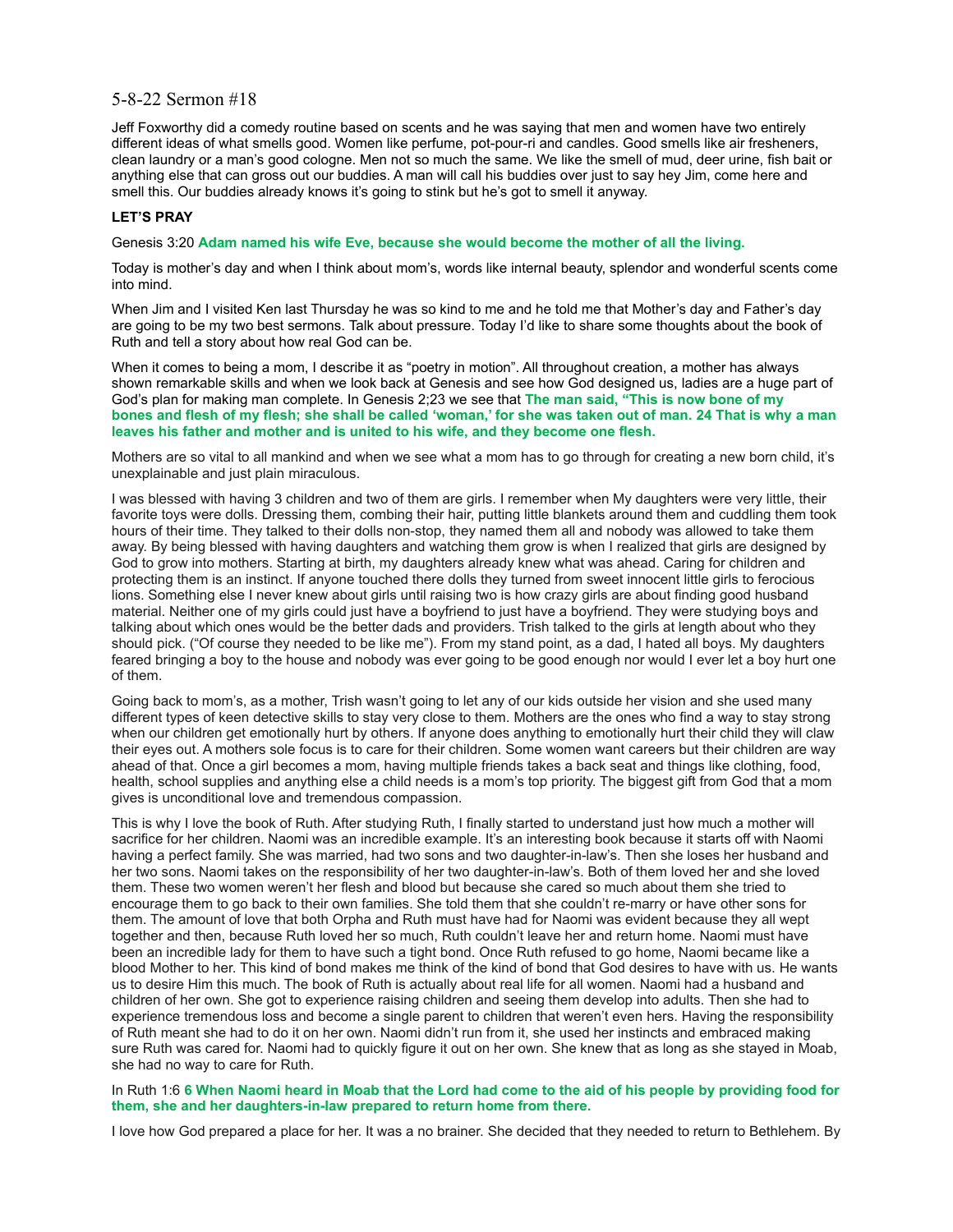## 5-8-22 Sermon #18

Jeff Foxworthy did a comedy routine based on scents and he was saying that men and women have two entirely different ideas of what smells good. Women like perfume, pot-pour-ri and candles. Good smells like air fresheners, clean laundry or a man's good cologne. Men not so much the same. We like the smell of mud, deer urine, fish bait or anything else that can gross out our buddies. A man will call his buddies over just to say hey Jim, come here and smell this. Our buddies already knows it's going to stink but he's got to smell it anyway.

## **LET'S PRAY**

Genesis 3:20 **Adam named his wife Eve, because she would become the mother of all the living.**

Today is mother's day and when I think about mom's, words like internal beauty, splendor and wonderful scents come into mind.

When Jim and I visited Ken last Thursday he was so kind to me and he told me that Mother's day and Father's day are going to be my two best sermons. Talk about pressure. Today I'd like to share some thoughts about the book of Ruth and tell a story about how real God can be.

When it comes to being a mom, I describe it as "poetry in motion". All throughout creation, a mother has always shown remarkable skills and when we look back at Genesis and see how God designed us, ladies are a huge part of God's plan for making man complete. In Genesis 2;23 we see that **The man said, "This is now bone of my bones and flesh of my flesh; she shall be called 'woman,' for she was taken out of man. 24 That is why a man leaves his father and mother and is united to his wife, and they become one flesh.**

Mothers are so vital to all mankind and when we see what a mom has to go through for creating a new born child, it's unexplainable and just plain miraculous.

I was blessed with having 3 children and two of them are girls. I remember when My daughters were very little, their favorite toys were dolls. Dressing them, combing their hair, putting little blankets around them and cuddling them took hours of their time. They talked to their dolls non-stop, they named them all and nobody was allowed to take them away. By being blessed with having daughters and watching them grow is when I realized that girls are designed by God to grow into mothers. Starting at birth, my daughters already knew what was ahead. Caring for children and protecting them is an instinct. If anyone touched there dolls they turned from sweet innocent little girls to ferocious lions. Something else I never knew about girls until raising two is how crazy girls are about finding good husband material. Neither one of my girls could just have a boyfriend to just have a boyfriend. They were studying boys and talking about which ones would be the better dads and providers. Trish talked to the girls at length about who they should pick. ("Of course they needed to be like me"). From my stand point, as a dad, I hated all boys. My daughters feared bringing a boy to the house and nobody was ever going to be good enough nor would I ever let a boy hurt one of them.

Going back to mom's, as a mother, Trish wasn't going to let any of our kids outside her vision and she used many different types of keen detective skills to stay very close to them. Mothers are the ones who find a way to stay strong when our children get emotionally hurt by others. If anyone does anything to emotionally hurt their child they will claw their eyes out. A mothers sole focus is to care for their children. Some women want careers but their children are way ahead of that. Once a girl becomes a mom, having multiple friends takes a back seat and things like clothing, food, health, school supplies and anything else a child needs is a mom's top priority. The biggest gift from God that a mom gives is unconditional love and tremendous compassion.

This is why I love the book of Ruth. After studying Ruth, I finally started to understand just how much a mother will sacrifice for her children. Naomi was an incredible example. It's an interesting book because it starts off with Naomi having a perfect family. She was married, had two sons and two daughter-in-law's. Then she loses her husband and her two sons. Naomi takes on the responsibility of her two daughter-in-law's. Both of them loved her and she loved them. These two women weren't her flesh and blood but because she cared so much about them she tried to encourage them to go back to their own families. She told them that she couldn't re-marry or have other sons for them. The amount of love that both Orpha and Ruth must have had for Naomi was evident because they all wept together and then, because Ruth loved her so much, Ruth couldn't leave her and return home. Naomi must have been an incredible lady for them to have such a tight bond. Once Ruth refused to go home, Naomi became like a blood Mother to her. This kind of bond makes me think of the kind of bond that God desires to have with us. He wants us to desire Him this much. The book of Ruth is actually about real life for all women. Naomi had a husband and children of her own. She got to experience raising children and seeing them develop into adults. Then she had to experience tremendous loss and become a single parent to children that weren't even hers. Having the responsibility of Ruth meant she had to do it on her own. Naomi didn't run from it, she used her instincts and embraced making sure Ruth was cared for. Naomi had to quickly figure it out on her own. She knew that as long as she stayed in Moab, she had no way to care for Ruth.

#### In Ruth 1:6 **6 When Naomi heard in Moab that the Lord had come to the aid of his people by providing food for them, she and her daughters-in-law prepared to return home from there.**

I love how God prepared a place for her. It was a no brainer. She decided that they needed to return to Bethlehem. By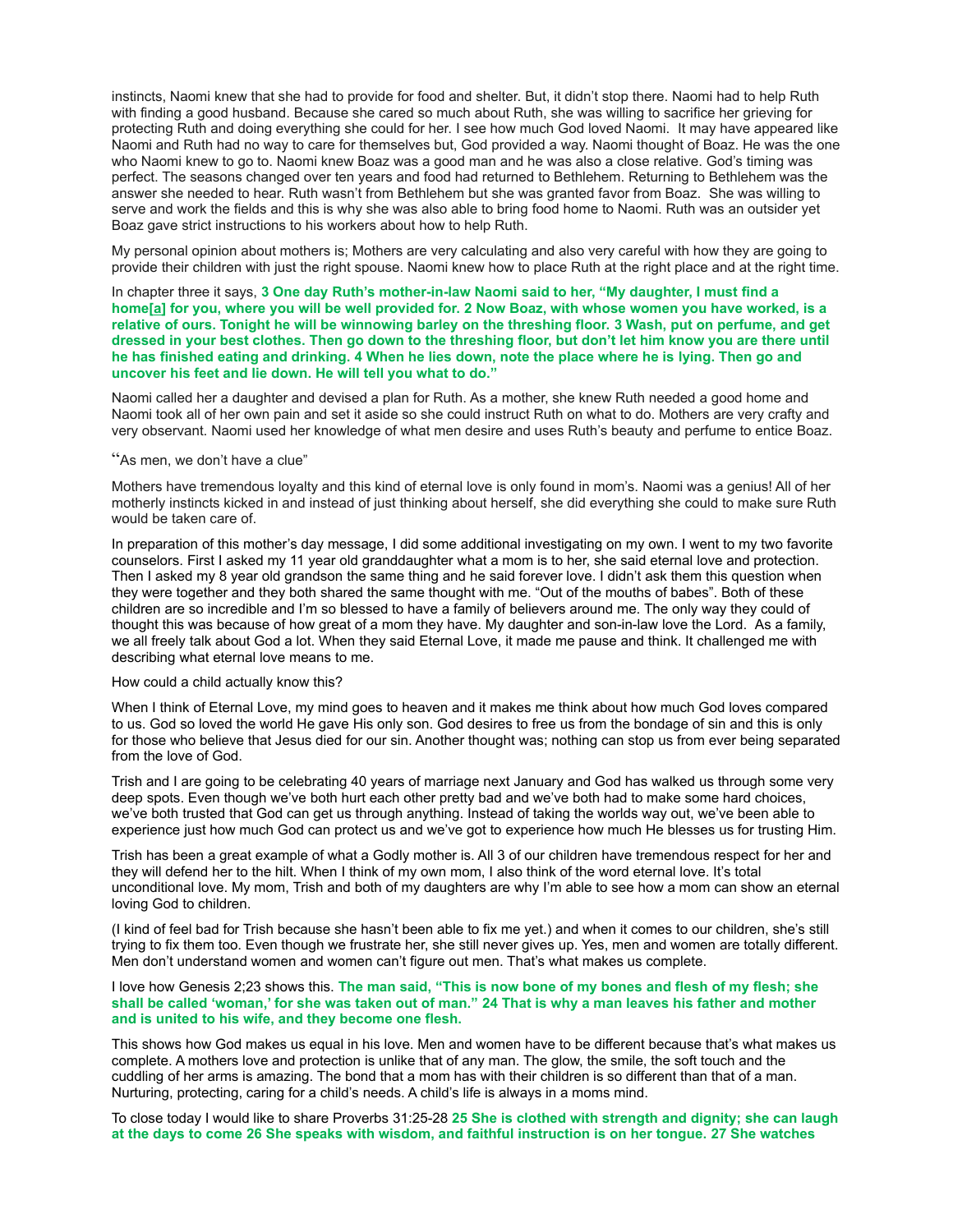instincts, Naomi knew that she had to provide for food and shelter. But, it didn't stop there. Naomi had to help Ruth with finding a good husband. Because she cared so much about Ruth, she was willing to sacrifice her grieving for protecting Ruth and doing everything she could for her. I see how much God loved Naomi. It may have appeared like Naomi and Ruth had no way to care for themselves but, God provided a way. Naomi thought of Boaz. He was the one who Naomi knew to go to. Naomi knew Boaz was a good man and he was also a close relative. God's timing was perfect. The seasons changed over ten years and food had returned to Bethlehem. Returning to Bethlehem was the answer she needed to hear. Ruth wasn't from Bethlehem but she was granted favor from Boaz. She was willing to serve and work the fields and this is why she was also able to bring food home to Naomi. Ruth was an outsider yet Boaz gave strict instructions to his workers about how to help Ruth.

My personal opinion about mothers is; Mothers are very calculating and also very careful with how they are going to provide their children with just the right spouse. Naomi knew how to place Ruth at the right place and at the right time.

In chapter three it says, **3 One day Ruth's mother-in-law Naomi said to her, "My daughter, I must find a home[\[a\]](https://www.biblegateway.com/passage/?search=Ruth%203&version=NIV#fen-NIV-7174a) for you, where you will be well provided for. 2 Now Boaz, with whose women you have worked, is a relative of ours. Tonight he will be winnowing barley on the threshing floor. 3 Wash, put on perfume, and get dressed in your best clothes. Then go down to the threshing floor, but don't let him know you are there until he has finished eating and drinking. 4 When he lies down, note the place where he is lying. Then go and uncover his feet and lie down. He will tell you what to do."**

Naomi called her a daughter and devised a plan for Ruth. As a mother, she knew Ruth needed a good home and Naomi took all of her own pain and set it aside so she could instruct Ruth on what to do. Mothers are very crafty and very observant. Naomi used her knowledge of what men desire and uses Ruth's beauty and perfume to entice Boaz.

# "As men, we don't have a clue"

Mothers have tremendous loyalty and this kind of eternal love is only found in mom's. Naomi was a genius! All of her motherly instincts kicked in and instead of just thinking about herself, she did everything she could to make sure Ruth would be taken care of.

In preparation of this mother's day message, I did some additional investigating on my own. I went to my two favorite counselors. First I asked my 11 year old granddaughter what a mom is to her, she said eternal love and protection. Then I asked my 8 year old grandson the same thing and he said forever love. I didn't ask them this question when they were together and they both shared the same thought with me. "Out of the mouths of babes". Both of these children are so incredible and I'm so blessed to have a family of believers around me. The only way they could of thought this was because of how great of a mom they have. My daughter and son-in-law love the Lord. As a family, we all freely talk about God a lot. When they said Eternal Love, it made me pause and think. It challenged me with describing what eternal love means to me.

#### How could a child actually know this?

When I think of Eternal Love, my mind goes to heaven and it makes me think about how much God loves compared to us. God so loved the world He gave His only son. God desires to free us from the bondage of sin and this is only for those who believe that Jesus died for our sin. Another thought was; nothing can stop us from ever being separated from the love of God.

Trish and I are going to be celebrating 40 years of marriage next January and God has walked us through some very deep spots. Even though we've both hurt each other pretty bad and we've both had to make some hard choices, we've both trusted that God can get us through anything. Instead of taking the worlds way out, we've been able to experience just how much God can protect us and we've got to experience how much He blesses us for trusting Him.

Trish has been a great example of what a Godly mother is. All 3 of our children have tremendous respect for her and they will defend her to the hilt. When I think of my own mom, I also think of the word eternal love. It's total unconditional love. My mom, Trish and both of my daughters are why I'm able to see how a mom can show an eternal loving God to children.

(I kind of feel bad for Trish because she hasn't been able to fix me yet.) and when it comes to our children, she's still trying to fix them too. Even though we frustrate her, she still never gives up. Yes, men and women are totally different. Men don't understand women and women can't figure out men. That's what makes us complete.

### I love how Genesis 2;23 shows this. **The man said, "This is now bone of my bones and flesh of my flesh; she shall be called 'woman,' for she was taken out of man." 24 That is why a man leaves his father and mother and is united to his wife, and they become one flesh.**

This shows how God makes us equal in his love. Men and women have to be different because that's what makes us complete. A mothers love and protection is unlike that of any man. The glow, the smile, the soft touch and the cuddling of her arms is amazing. The bond that a mom has with their children is so different than that of a man. Nurturing, protecting, caring for a child's needs. A child's life is always in a moms mind.

To close today I would like to share Proverbs 31:25-28 **25 She is clothed with strength and dignity; she can laugh at the days to come 26 She speaks with wisdom, and faithful instruction is on her tongue. 27 She watches**